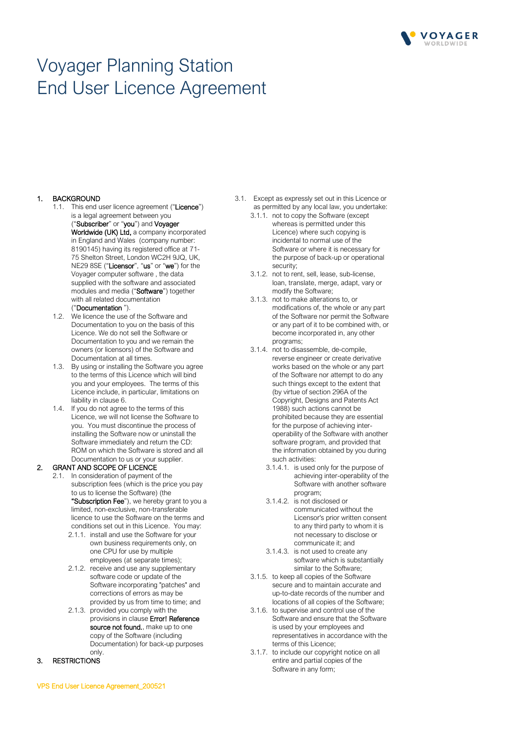

# Voyager Planning Station End User Licence Agreement

#### 1. BACKGROUND

1.1. This end user licence agreement ("Licence") is a legal agreement between you ("Subscriber" or "you") and Voyager Worldwide (UK) Ltd, a company incorporated in England and Wales (company number: 8190145) having its registered office at 71- 75 Shelton Street, London WC2H 9JQ, UK, NE29 8SE ("Licensor", "us" or "we") for the Voyager computer software , the data supplied with the software and associated modules and media ("Software") together with all related documentation

# ("Documentation ").

- 1.2. We licence the use of the Software and Documentation to you on the basis of this Licence. We do not sell the Software or Documentation to you and we remain the owners (or licensors) of the Software and Documentation at all times.
- 1.3. By using or installing the Software you agree to the terms of this Licence which will bind you and your employees. The terms of this Licence include, in particular, limitations on liability in clause 6.
- 1.4. If you do not agree to the terms of this Licence, we will not license the Software to you. You must discontinue the process of installing the Software now or uninstall the Software immediately and return the CD: ROM on which the Software is stored and all Documentation to us or your supplier.

## 2. GRANT AND SCOPE OF LICENCE

- 2.1. In consideration of payment of the subscription fees (which is the price you pay to us to license the Software) (the "Subscription Fee"), we hereby grant to you a limited, non-exclusive, non-transferable licence to use the Software on the terms and conditions set out in this Licence. You may:
	- 2.1.1. install and use the Software for your own business requirements only, on one CPU for use by multiple employees (at separate times);
	- 2.1.2. receive and use any supplementary software code or update of the Software incorporating "patches" and corrections of errors as may be provided by us from time to time; and
	- 2.1.3. provided you comply with the provisions in clause Error! Reference source not found., make up to one copy of the Software (including Documentation) for back-up purposes only.

## 3. RESTRICTIONS

- 3.1. Except as expressly set out in this Licence or as permitted by any local law, you undertake:
	- 3.1.1. not to copy the Software (except whereas is permitted under this Licence) where such copying is incidental to normal use of the Software or where it is necessary for the purpose of back-up or operational security;
	- 3.1.2. not to rent, sell, lease, sub-license, loan, translate, merge, adapt, vary or modify the Software;
	- 3.1.3. not to make alterations to, or modifications of, the whole or any part of the Software nor permit the Software or any part of it to be combined with, or become incorporated in, any other programs;
	- 3.1.4. not to disassemble, de-compile, reverse engineer or create derivative works based on the whole or any part of the Software nor attempt to do any such things except to the extent that (by virtue of section 296A of the Copyright, Designs and Patents Act 1988) such actions cannot be prohibited because they are essential for the purpose of achieving interoperability of the Software with another software program, and provided that the information obtained by you during such activities:
		- 3.1.4.1. is used only for the purpose of achieving inter-operability of the Software with another software program;
		- 3.1.4.2. is not disclosed or communicated without the Licensor's prior written consent to any third party to whom it is not necessary to disclose or communicate it; and
		- 3.1.4.3. is not used to create any software which is substantially similar to the Software;
	- 3.1.5. to keep all copies of the Software secure and to maintain accurate and up-to-date records of the number and locations of all copies of the Software;
	- 3.1.6. to supervise and control use of the Software and ensure that the Software is used by your employees and representatives in accordance with the terms of this Licence;
	- 3.1.7. to include our copyright notice on all entire and partial copies of the Software in any form;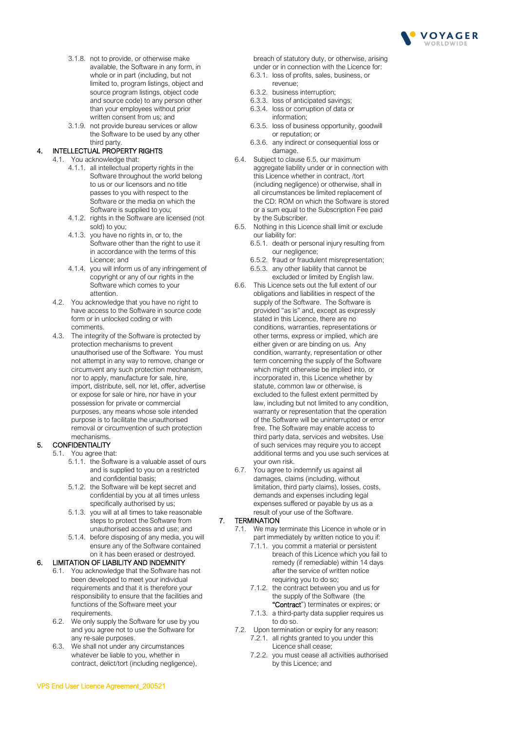

- 3.1.8. not to provide, or otherwise make available, the Software in any form, in whole or in part (including, but not limited to, program listings, object and source program listings, object code and source code) to any person other than your employees without prior written consent from us; and
- 3.1.9. not provide bureau services or allow the Software to be used by any other third party.

## 4. INTELLECTUAL PROPERTY RIGHTS

- 4.1. You acknowledge that:
	- 4.1.1. all intellectual property rights in the Software throughout the world belong to us or our licensors and no title passes to you with respect to the Software or the media on which the Software is supplied to you;
	- 4.1.2. rights in the Software are licensed (not sold) to you;
	- 4.1.3. you have no rights in, or to, the Software other than the right to use it in accordance with the terms of this Licence; and
	- 4.1.4. you will inform us of any infringement of copyright or any of our rights in the Software which comes to your attention.
	- 4.2. You acknowledge that you have no right to have access to the Software in source code form or in unlocked coding or with comments.
	- 4.3. The integrity of the Software is protected by protection mechanisms to prevent unauthorised use of the Software. You must not attempt in any way to remove, change or circumvent any such protection mechanism, nor to apply, manufacture for sale, hire, import, distribute, sell, nor let, offer, advertise or expose for sale or hire, nor have in your possession for private or commercial purposes, any means whose sole intended purpose is to facilitate the unauthorised removal or circumvention of such protection mechanisms.

# 5. CONFIDENTIALITY

- 5.1. You agree that:
	- 5.1.1. the Software is a valuable asset of ours and is supplied to you on a restricted and confidential basis;
	- 5.1.2. the Software will be kept secret and confidential by you at all times unless specifically authorised by us;
	- 5.1.3. you will at all times to take reasonable steps to protect the Software from unauthorised access and use; and
	- 5.1.4. before disposing of any media, you will ensure any of the Software contained on it has been erased or destroyed.

## 6. LIMITATION OF LIABILITY AND INDEMNITY

- 6.1. You acknowledge that the Software has not been developed to meet your individual requirements and that it is therefore your responsibility to ensure that the facilities and functions of the Software meet your requirements.
- 6.2. We only supply the Software for use by you and you agree not to use the Software for any re-sale purposes.
- 6.3. We shall not under any circumstances whatever be liable to you, whether in contract, delict/tort (including negligence),

breach of statutory duty, or otherwise, arising under or in connection with the Licence for:

- 6.3.1. loss of profits, sales, business, or revenue;
- 6.3.2. business interruption;
- 6.3.3. loss of anticipated savings;
- 6.3.4. loss or corruption of data or information;
- 6.3.5. loss of business opportunity, goodwill or reputation; or
- 6.3.6. any indirect or consequential loss or damage.
- 6.4. Subject to clause 6.5, our maximum aggregate liability under or in connection with this Licence whether in contract, /tort (including negligence) or otherwise, shall in all circumstances be limited replacement of the CD: ROM on which the Software is stored or a sum equal to the Subscription Fee paid by the Subscriber.
- 6.5. Nothing in this Licence shall limit or exclude our liability for:
	- 6.5.1. death or personal injury resulting from our negligence;
	- 6.5.2. fraud or fraudulent misrepresentation;
	- 6.5.3. any other liability that cannot be excluded or limited by English law.
- 6.6. This Licence sets out the full extent of our obligations and liabilities in respect of the supply of the Software. The Software is provided "as is" and, except as expressly stated in this Licence, there are no conditions, warranties, representations or other terms, express or implied, which are either given or are binding on us. Any condition, warranty, representation or other term concerning the supply of the Software which might otherwise be implied into, or incorporated in, this Licence whether by statute, common law or otherwise, is excluded to the fullest extent permitted by law, including but not limited to any condition. warranty or representation that the operation of the Software will be uninterrupted or error free. The Software may enable access to third party data, services and websites. Use of such services may require you to accept additional terms and you use such services at your own risk.
- 6.7. You agree to indemnify us against all damages, claims (including, without limitation, third party claims), losses, costs, demands and expenses including legal expenses suffered or payable by us as a result of your use of the Software.

## 7. TERMINATION

- 7.1. We may terminate this Licence in whole or in part immediately by written notice to you if:
	- 7.1.1. you commit a material or persistent breach of this Licence which you fail to remedy (if remediable) within 14 days after the service of written notice requiring you to do so;
	- 7.1.2. the contract between you and us for the supply of the Software (the "Contract") terminates or expires; or
	- 7.1.3. a third-party data supplier requires us to do so.
- 7.2. Upon termination or expiry for any reason: 7.2.1. all rights granted to you under this Licence shall cease;
	- 7.2.2. you must cease all activities authorised by this Licence; and